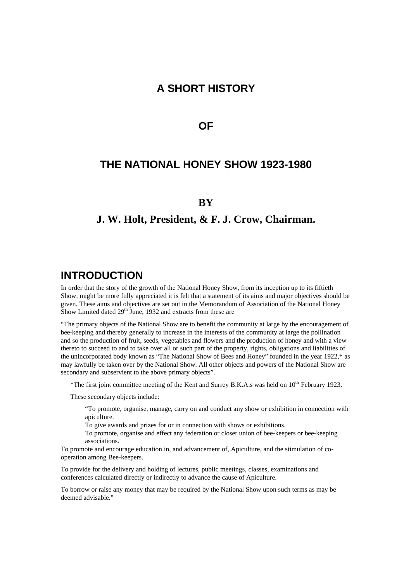# **A SHORT HISTORY**

**OF**

# **THE NATIONAL HONEY SHOW 1923-1980**

**BY**

# **J. W. Holt, President, & F. J. Crow, Chairman.**

# **INTRODUCTION**

In order that the story of the growth of the National Honey Show, from its inception up to its fiftieth Show, might be more fully appreciated it is felt that a statement of its aims and major objectives should be given. These aims and objectives are set out in the Memorandum of Association of the National Honey Show Limited dated  $29<sup>th</sup>$  June, 1932 and extracts from these are

"The primary objects of the National Show are to benefit the community at large by the encouragement of bee-keeping and thereby generally to increase in the interests of the community at large the pollination and so the production of fruit, seeds, vegetables and flowers and the production of honey and with a view thereto to succeed to and to take over all or such part of the property, rights, obligations and liabilities of the unincorporated body known as "The National Show of Bees and Honey" founded in the year 1922,\* as may lawfully be taken over by the National Show. All other objects and powers of the National Show are secondary and subservient to the above primary objects".

\*The first joint committee meeting of the Kent and Surrey B.K.A.s was held on 10<sup>th</sup> February 1923.

These secondary objects include:

"To promote, organise, manage, carry on and conduct any show or exhibition in connection with apiculture.

To give awards and prizes for or in connection with shows or exhibitions.

To promote, organise and effect any federation or closer union of bee-keepers or bee-keeping associations.

To promote and encourage education in, and advancement of, Apiculture, and the stimulation of cooperation among Bee-keepers.

To provide for the delivery and holding of lectures, public meetings, classes, examinations and conferences calculated directly or indirectly to advance the cause of Apiculture.

To borrow or raise any money that may be required by the National Show upon such terms as may be deemed advisable."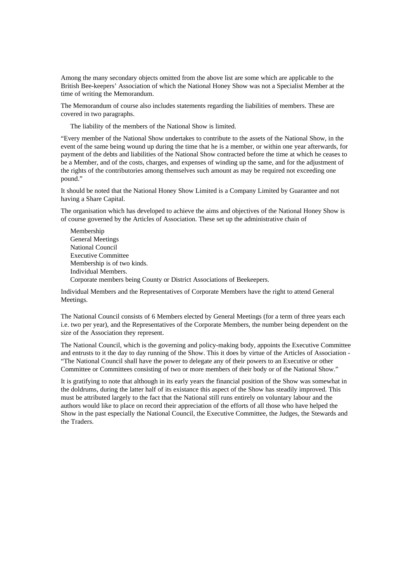Among the many secondary objects omitted from the above list are some which are applicable to the British Bee-keepers' Association of which the National Honey Show was not a Specialist Member at the time of writing the Memorandum.

The Memorandum of course also includes statements regarding the liabilities of members. These are covered in two paragraphs.

The liability of the members of the National Show is limited.

"Every member of the National Show undertakes to contribute to the assets of the National Show, in the event of the same being wound up during the time that he is a member, or within one year afterwards, for payment of the debts and liabilities of the National Show contracted before the time at which he ceases to be a Member, and of the costs, charges, and expenses of winding up the same, and for the adjustment of the rights of the contributories among themselves such amount as may be required not exceeding one pound."

It should be noted that the National Honey Show Limited is a Company Limited by Guarantee and not having a Share Capital.

The organisation which has developed to achieve the aims and objectives of the National Honey Show is of course governed by the Articles of Association. These set up the administrative chain of

Membership General Meetings National Council Executive Committee Membership is of two kinds. Individual Members. Corporate members being County or District Associations of Beekeepers.

Individual Members and the Representatives of Corporate Members have the right to attend General Meetings.

The National Council consists of 6 Members elected by General Meetings (for a term of three years each i.e. two per year), and the Representatives of the Corporate Members, the number being dependent on the size of the Association they represent.

The National Council, which is the governing and policy-making body, appoints the Executive Committee and entrusts to it the day to day running of the Show. This it does by virtue of the Articles of Association - "The National Council shall have the power to delegate any of their powers to an Executive or other Committee or Committees consisting of two or more members of their body or of the National Show."

It is gratifying to note that although in its early years the financial position of the Show was somewhat in the doldrums, during the latter half of its existance this aspect of the Show has steadily improved. This must be attributed largely to the fact that the National still runs entirely on voluntary labour and the authors would like to place on record their appreciation of the efforts of all those who have helped the Show in the past especially the National Council, the Executive Committee, the Judges, the Stewards and the Traders.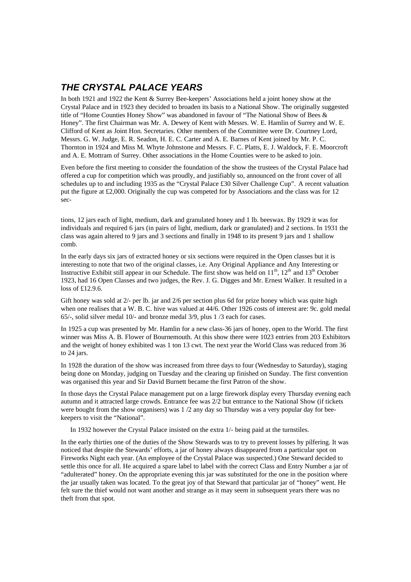## *THE CRYSTAL PALACE YEARS*

In both 1921 and 1922 the Kent & Surrey Bee-keepers' Associations held a joint honey show at the Crystal Palace and in 1923 they decided to broaden its basis to a National Show. The originally suggested title of "Home Counties Honey Show" was abandoned in favour of "The National Show of Bees & Honey". The first Chairman was Mr. A. Dewey of Kent with Messrs. W. E. Hamlin of Surrey and W. E. Clifford of Kent as Joint Hon. Secretaries. Other members of the Committee were Dr. Courtney Lord, Messrs. G. W. Judge, E. R. Seadon, H. E. C. Carter and A. E. Barnes of Kent joined by Mr. P. C. Thornton in 1924 and Miss M. Whyte Johnstone and Messrs. F. C. Platts, E. J. Waldock, F. E. Moorcroft and A. E. Mottram of Surrey. Other associations in the Home Counties were to be asked to join.

Even before the first meeting to consider the foundation of the show the trustees of the Crystal Palace had offered a cup for competition which was proudly, and justifiably so, announced on the front cover of all schedules up to and including 1935 as the "Crystal Palace £30 Silver Challenge Cup". A recent valuation put the figure at £2,000. Originally the cup was competed for by Associations and the class was for 12 sec-

tions, 12 jars each of light, medium, dark and granulated honey and 1 lb. beeswax. By 1929 it was for individuals and required 6 jars (in pairs of light, medium, dark or granulated) and 2 sections. In 1931 the class was again altered to 9 jars and 3 sections and finally in 1948 to its present 9 jars and 1 shallow comb.

In the early days six jars of extracted honey or six sections were required in the Open classes but it is interesting to note that two of the original classes, i.e. Any Original Appliance and Any Interesting or Instructive Exhibit still appear in our Schedule. The first show was held on 11<sup>th</sup>, 12<sup>th</sup> and 13<sup>th</sup> October 1923, had 16 Open Classes and two judges, the Rev. J. G. Digges and Mr. Ernest Walker. It resulted in a loss of £12.9.6.

Gift honey was sold at  $2/$ - per lb. jar and  $2/6$  per section plus 6d for prize honey which was quite high when one realises that a W. B. C. hive was valued at 44/6. Other 1926 costs of interest are: 9c. gold medal 65/-, solid silver medal 10/- and bronze medal 3/9, plus 1 /3 each for cases.

In 1925 a cup was presented by Mr. Hamlin for a new class-36 jars of honey, open to the World. The first winner was Miss A. B. Flower of Bournemouth. At this show there were 1023 entries from 203 Exhibitors and the weight of honey exhibited was 1 ton 13 cwt. The next year the World Class was reduced from 36 to 24 jars.

In 1928 the duration of the show was increased from three days to four (Wednesday to Saturday), staging being done on Monday, judging on Tuesday and the clearing up finished on Sunday. The first convention was organised this year and Sir David Burnett became the first Patron of the show.

In those days the Crystal Palace management put on a large firework display every Thursday evening each autumn and it attracted large crowds. Entrance fee was 2/2 but entrance to the National Show (if tickets were bought from the show organisers) was  $1/2$  any day so Thursday was a very popular day for beekeepers to visit the "National".

In 1932 however the Crystal Palace insisted on the extra 1/- being paid at the turnstiles.

In the early thirties one of the duties of the Show Stewards was to try to prevent losses by pilfering. It was noticed that despite the Stewards' efforts, a jar of honey always disappeared from a particular spot on Fireworks Night each year. (An employee of the Crystal Palace was suspected.) One Steward decided to settle this once for all. He acquired a spare label to label with the correct Class and Entry Number a jar of "adulterated" honey. On the appropriate evening this jar was substituted for the one in the position where the jar usually taken was located. To the great joy of that Steward that particular jar of "honey" went. He felt sure the thief would not want another and strange as it may seem in subsequent years there was no theft from that spot.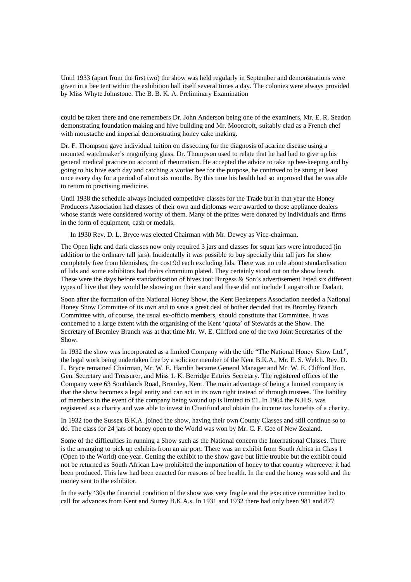Until 1933 (apart from the first two) the show was held regularly in September and demonstrations were given in a bee tent within the exhibition hall itself several times a day. The colonies were always provided by Miss Whyte Johnstone. The B. B. K. A. Preliminary Examination

could be taken there and one remembers Dr. John Anderson being one of the examiners, Mr. E. R. Seadon demonstrating foundation making and hive building and Mr. Moorcroft, suitably clad as a French chef with moustache and imperial demonstrating honey cake making.

Dr. F. Thompson gave individual tuition on dissecting for the diagnosis of acarine disease using a mounted watchmaker's magnifying glass. Dr. Thompson used to relate that he had had to give up his general medical practice on account of rheumatism. He accepted the advice to take up bee-keeping and by going to his hive each day and catching a worker bee for the purpose, he contrived to be stung at least once every day for a period of about six months. By this time his health had so improved that he was able to return to practising medicine.

Until 1938 the schedule always included competitive classes for the Trade but in that year the Honey Producers Association had classes of their own and diplomas were awarded to those appliance dealers whose stands were considered worthy of them. Many of the prizes were donated by individuals and firms in the form of equipment, cash or medals.

In 1930 Rev. D. L. Bryce was elected Chairman with Mr. Dewey as Vice-chairman.

The Open light and dark classes now only required 3 jars and classes for squat jars were introduced (in addition to the ordinary tall jars). Incidentally it was possible to buy specially thin tall jars for show completely free from blemishes, the cost 9d each excluding lids. There was no rule about standardisation of lids and some exhibitors had theirs chromium plated. They certainly stood out on the show bench. These were the days before standardisation of hives too: Burgess & Son's advertisement listed six different types of hive that they would be showing on their stand and these did not include Langstroth or Dadant.

Soon after the formation of the National Honey Show, the Kent Beekeepers Association needed a National Honey Show Committee of its own and to save a great deal of bother decided that its Bromley Branch Committee with, of course, the usual ex-officio members, should constitute that Committee. It was concerned to a large extent with the organising of the Kent 'quota' of Stewards at the Show. The Secretary of Bromley Branch was at that time Mr. W. E. Clifford one of the two Joint Secretaries of the Show.

In 1932 the show was incorporated as a limited Company with the title "The National Honey Show Ltd.", the legal work being undertaken free by a solicitor member of the Kent B.K.A., Mr. E. S. Welch. Rev. D. L. Bryce remained Chairman, Mr. W. E. Hamlin became General Manager and Mr. W. E. Clifford Hon. Gen. Secretary and Treasurer, and Miss 1. K. Berridge Entries Secretary. The registered offices of the Company were 63 Southlands Road, Bromley, Kent. The main advantage of being a limited company is that the show becomes a legal entity and can act in its own right instead of through trustees. The liability of members in the event of the company being wound up is limited to £1. In 1964 the N.H.S. was registered as a charity and was able to invest in Charifund and obtain the income tax benefits of a charity.

In 1932 too the Sussex B.K.A. joined the show, having their own County Classes and still continue so to do. The class for 24 jars of honey open to the World was won by Mr. C. F. Gee of New Zealand.

Some of the difficulties in running a Show such as the National concern the International Classes. There is the arranging to pick up exhibits from an air port. There was an exhibit from South Africa in Class 1 (Open to the World) one year. Getting the exhibit to the show gave but little trouble but the exhibit could not be returned as South African Law prohibited the importation of honey to that country whereever it had been produced. This law had been enacted for reasons of bee health. In the end the honey was sold and the money sent to the exhibitor.

In the early '30s the financial condition of the show was very fragile and the executive committee had to call for advances from Kent and Surrey B.K.A.s. In 1931 and 1932 there had only been 981 and 877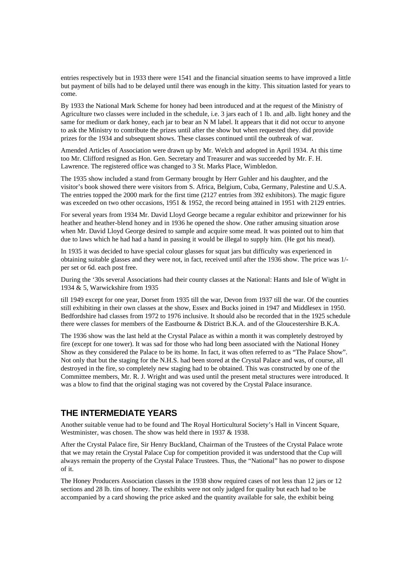entries respectively but in 1933 there were 1541 and the financial situation seems to have improved a little but payment of bills had to be delayed until there was enough in the kitty. This situation lasted for years to come.

By 1933 the National Mark Scheme for honey had been introduced and at the request of the Ministry of Agriculture two classes were included in the schedule, i.e. 3 jars each of 1 lb. and ,alb. light honey and the same for medium or dark honey, each jar to bear an N M label. It appears that it did not occur to anyone to ask the Ministry to contribute the prizes until after the show but when requested they. did provide prizes for the 1934 and subsequent shows. These classes continued until the outbreak of war.

Amended Articles of Association were drawn up by Mr. Welch and adopted in April 1934. At this time too Mr. Clifford resigned as Hon. Gen. Secretary and Treasurer and was succeeded by Mr. F. H. Lawrence. The registered office was changed to 3 St. Marks Place, Wimbledon.

The 1935 show included a stand from Germany brought by Herr Guhler and his daughter, and the visitor's book showed there were visitors from S. Africa, Belgium, Cuba, Germany, Palestine and U.S.A. The entries topped the 2000 mark for the first time (2127 entries from 392 exhibitors). The magic figure was exceeded on two other occasions, 1951 & 1952, the record being attained in 1951 with 2129 entries.

For several years from 1934 Mr. David Lloyd George became a regular exhibitor and prizewinner for his heather and heather-blend honey and in 1936 he opened the show. One rather amusing situation arose when Mr. David Lloyd George desired to sample and acquire some mead. It was pointed out to him that due to laws which he had had a hand in passing it would be illegal to supply him. (He got his mead).

In 1935 it was decided to have special colour glasses for squat jars but difficulty was experienced in obtaining suitable glasses and they were not, in fact, received until after the 1936 show. The price was 1/ per set or 6d. each post free.

During the '30s several Associations had their county classes at the National: Hants and Isle of Wight in 1934 & 5, Warwickshire from 1935

till 1949 except for one year, Dorset from 1935 till the war, Devon from 1937 till the war. Of the counties still exhibiting in their own classes at the show, Essex and Bucks joined in 1947 and Middlesex in 1950. Bedfordshire had classes from 1972 to 1976 inclusive. It should also be recorded that in the 1925 schedule there were classes for members of the Eastbourne & District B.K.A. and of the Gloucestershire B.K.A.

The 1936 show was the last held at the Crystal Palace as within a month it was completely destroyed by fire (except for one tower). It was sad for those who had long been associated with the National Honey Show as they considered the Palace to be its home. In fact, it was often referred to as "The Palace Show". Not only that but the staging for the N.H.S. had been stored at the Crystal Palace and was, of course, all destroyed in the fire, so completely new staging had to be obtained. This was constructed by one of the Committee members, Mr. R. J. Wright and was used until the present metal structures were introduced. It was a blow to find that the original staging was not covered by the Crystal Palace insurance.

### **THE INTERMEDIATE YEARS**

Another suitable venue had to be found and The Royal Horticultural Society's Hall in Vincent Square, Westminister, was chosen. The show was held there in 1937 & 1938.

After the Crystal Palace fire, Sir Henry Buckland, Chairman of the Trustees of the Crystal Palace wrote that we may retain the Crystal Palace Cup for competition provided it was understood that the Cup will always remain the property of the Crystal Palace Trustees. Thus, the "National" has no power to dispose of it.

The Honey Producers Association classes in the 1938 show required cases of not less than 12 jars or 12 sections and 28 lb. tins of honey. The exhibits were not only judged for quality but each had to be accompanied by a card showing the price asked and the quantity available for sale, the exhibit being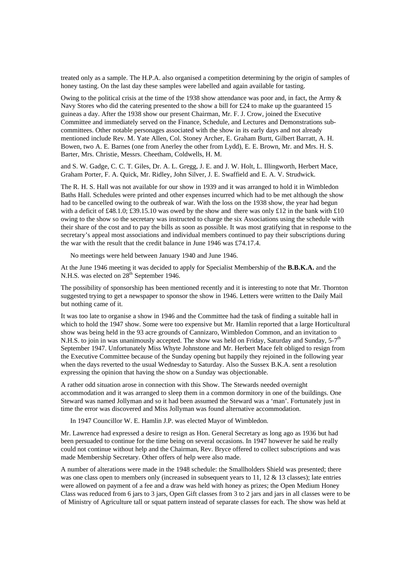treated only as a sample. The H.P.A. also organised a competition determining by the origin of samples of honey tasting. On the last day these samples were labelled and again available for tasting.

Owing to the political crisis at the time of the 1938 show attendance was poor and, in fact, the Army & Navy Stores who did the catering presented to the show a bill for £24 to make up the guaranteed 15 guineas a day. After the 1938 show our present Chairman, Mr. F. J. Crow, joined the Executive Committee and immediately served on the Finance, Schedule, and Lectures and Demonstrations subcommittees. Other notable personages associated with the show in its early days and not already mentioned include Rev. M. Yate Allen, Col. Stoney Archer, E. Graham Burtt, Gilbert Barratt, A. H. Bowen, two A. E. Barnes (one from Anerley the other from Lydd), E. E. Brown, Mr. and Mrs. H. S. Barter, Mrs. Christie, Messrs. Cheetham, Coldwells, H. M.

and S. W. Gadge, C. C. T. Giles, Dr. A. L. Gregg, J. E. and J. W. Holt, L. Illingworth, Herbert Mace, Graham Porter, F. A. Quick, Mr. Ridley, John Silver, J. E. Swaffield and E. A. V. Strudwick.

The R. H. S. Hall was not available for our show in 1939 and it was arranged to hold it in Wimbledon Baths Hall. Schedules were printed and other expenses incurred which had to be met although the show had to be cancelled owing to the outbreak of war. With the loss on the 1938 show, the year had begun with a deficit of £48.1.0; £39.15.10 was owed by the show and there was only £12 in the bank with £10 owing to the show so the secretary was instructed to charge the six Associations using the schedule with their share of the cost and to pay the bills as soon as possible. It was most gratifying that in response to the secretary's appeal most associations and individual members continued to pay their subscriptions during the war with the result that the credit balance in June 1946 was £74.17.4.

No meetings were held between January 1940 and June 1946.

At the June 1946 meeting it was decided to apply for Specialist Membership of the **B.B.K.A.** and the N.H.S. was elected on 28<sup>th</sup> September 1946.

The possibility of sponsorship has been mentioned recently and it is interesting to note that Mr. Thornton suggested trying to get a newspaper to sponsor the show in 1946. Letters were written to the Daily Mail but nothing came of it.

It was too late to organise a show in 1946 and the Committee had the task of finding a suitable hall in which to hold the 1947 show. Some were too expensive but Mr. Hamlin reported that a large Horticultural show was being held in the 93 acre grounds of Cannizaro, Wimbledon Common, and an invitation to N.H.S. to join in was unanimously accepted. The show was held on Friday, Saturday and Sunday, 5-7<sup>th</sup> September 1947. Unfortunately Miss Whyte Johnstone and Mr. Herbert Mace felt obliged to resign from the Executive Committee because of the Sunday opening but happily they rejoined in the following year when the days reverted to the usual Wednesday to Saturday. Also the Sussex B.K.A. sent a resolution expressing the opinion that having the show on a Sunday was objectionable.

A rather odd situation arose in connection with this Show. The Stewards needed overnight accommodation and it was arranged to sleep them in a common dormitory in one of the buildings. One Steward was named Jollyman and so it had been assumed the Steward was a 'man'. Fortunately just in time the error was discovered and Miss Jollyman was found alternative accommodation.

In 1947 Councillor W. E. Hamlin J.P. was elected Mayor of Wimbledon.

Mr. Lawrence had expressed a desire to resign as Hon. General Secretary as long ago as 1936 but had been persuaded to continue for the time being on several occasions. In 1947 however he said he really could not continue without help and the Chairman, Rev. Bryce offered to collect subscriptions and was made Membership Secretary. Other offers of help were also made.

A number of alterations were made in the 1948 schedule: the Smallholders Shield was presented; there was one class open to members only (increased in subsequent years to 11, 12  $\&$  13 classes); late entries were allowed on payment of a fee and a draw was held with honey as prizes; the Open Medium Honey Class was reduced from 6 jars to 3 jars, Open Gift classes from 3 to 2 jars and jars in all classes were to be of Ministry of Agriculture tall or squat pattern instead of separate classes for each. The show was held at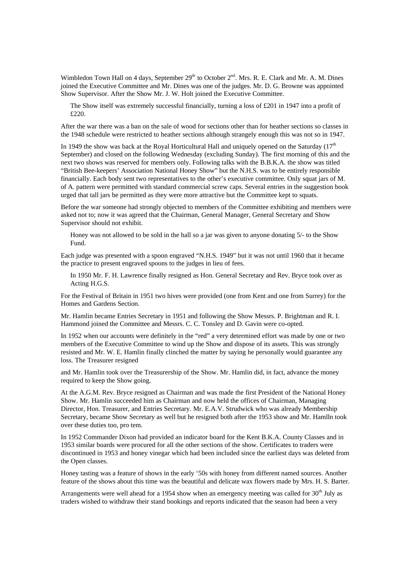Wimbledon Town Hall on 4 days, September 29<sup>th</sup> to October 2<sup>nd</sup>. Mrs. R. E. Clark and Mr. A. M. Dines joined the Executive Committee and Mr. Dines was one of the judges. Mr. D. G. Browne was appointed Show Supervisor. After the Show Mr. J. W. Holt joined the Executive Committee.

The Show itself was extremely successful financially, turning a loss of £201 in 1947 into a profit of £220.

After the war there was a ban on the sale of wood for sections other than for heather sections so classes in the 1948 schedule were restricted to heather sections although strangely enough this was not so in 1947.

In 1949 the show was back at the Royal Horticultural Hall and uniquely opened on the Saturday  $(17<sup>th</sup>$ September) and closed on the following Wednesday (excluding Sunday). The first morning of this and the next two shows was reserved for members only. Following talks with the B.B.K.A. the show was titled "British Bee-keepers' Association National Honey Show" but the N.H.S. was to be entirely responsible financially. Each body sent two representatives to the other's executive committee. Only squat jars of M. of A. pattern were permitted with standard commercial screw caps. Several entries in the suggestion book urged that tall jars be permitted as they were more attractive but the Committee kept to squats.

Before the war someone had strongly objected to members of the Committee exhibiting and members were asked not to; now it was agreed that the Chairman, General Manager, General Secretary and Show Supervisor should not exhibit.

Honey was not allowed to be sold in the hall so a jar was given to anyone donating 5/- to the Show Fund.

Each judge was presented with a spoon engraved "N.H.S. 1949" but it was not until 1960 that it became the practice to present engraved spoons to the judges in lieu of fees.

In 1950 Mr. F. H. Lawrence finally resigned as Hon. General Secretary and Rev. Bryce took over as Acting H.G.S.

For the Festival of Britain in 1951 two hives were provided (one from Kent and one from Surrey) for the Homes and Gardens Section.

Mr. Hamlin became Entries Secretary in 1951 and following the Show Messrs. P. Brightman and R. I. Hammond joined the Committee and Messrs. C. C. Tonsley and D. Gavin were co-opted.

In 1952 when our accounts were definitely in the "red" a very determined effort was made by one or two members of the Executive Committee to wind up the Show and dispose of its assets. This was strongly resisted and Mr. W. E. Hamlin finally clinched the matter by saying he personally would guarantee any loss. The Treasurer resigned

and Mr. Hamlin took over the Treasurership of the Show. Mr. Hamlin did, in fact, advance the money required to keep the Show going.

At the A.G.M. Rev. Bryce resigned as Chairman and was made the first President of the National Honey Show. Mr. Hamlin succeeded him as Chairman and now held the offices of Chairman, Managing Director, Hon. Treasurer, and Entries Secretary. Mr. E.A.V. Strudwick who was already Membership Secretary, became Show Secretary as well but he resigned both after the 1953 show and Mr. Hamlln took over these duties too, pro tem.

In 1952 Commander Dixon had provided an indicator board for the Kent B.K.A. County Classes and in 1953 similar boards were procured for all the other sections of the show. Certificates to traders were discontinued in 1953 and honey vinegar which had been included since the earliest days was deleted from the Open classes.

Honey tasting was a feature of shows in the early '50s with honey from different named sources. Another feature of the shows about this time was the beautiful and delicate wax flowers made by Mrs. H. S. Barter.

Arrangements were well ahead for a 1954 show when an emergency meeting was called for  $30<sup>th</sup>$  July as traders wished to withdraw their stand bookings and reports indicated that the season had been a very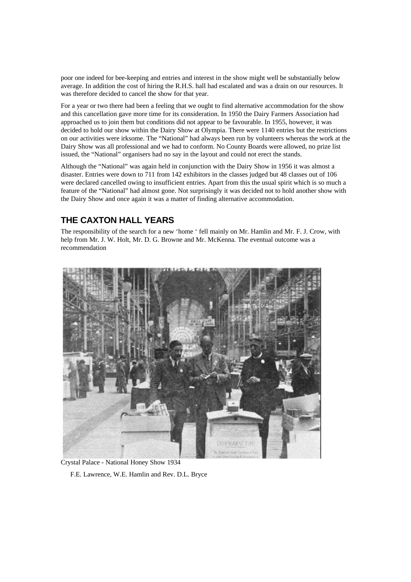poor one indeed for bee-keeping and entries and interest in the show might well be substantially below average. In addition the cost of hiring the R.H.S. hall had escalated and was a drain on our resources. It was therefore decided to cancel the show for that year.

For a year or two there had been a feeling that we ought to find alternative accommodation for the show and this cancellation gave more time for its consideration. In 1950 the Dairy Farmers Association had approached us to join them but conditions did not appear to be favourable. In 1955, however, it was decided to hold our show within the Dairy Show at Olympia. There were 1140 entries but the restrictions on our activities were irksome. The "National" had always been run by volunteers whereas the work at the Dairy Show was all professional and we had to conform. No County Boards were allowed, no prize list issued, the "National" organisers had no say in the layout and could not erect the stands.

Although the "National" was again held in conjunction with the Dairy Show in 1956 it was almost a disaster. Entries were down to 711 from 142 exhibitors in the classes judged but 48 classes out of 106 were declared cancelled owing to insufficient entries. Apart from this the usual spirit which is so much a feature of the "National" had almost gone. Not surprisingly it was decided not to hold another show with the Dairy Show and once again it was a matter of finding alternative accommodation.

## **THE CAXTON HALL YEARS**

The responsibility of the search for a new 'home ' fell mainly on Mr. Hamlin and Mr. F. J. Crow, with help from Mr. J. W. Holt, Mr. D. G. Browne and Mr. McKenna. The eventual outcome was a recommendation



Crystal Palace - National Honey Show 1934

F.E. Lawrence, W.E. Hamlin and Rev. D.L. Bryce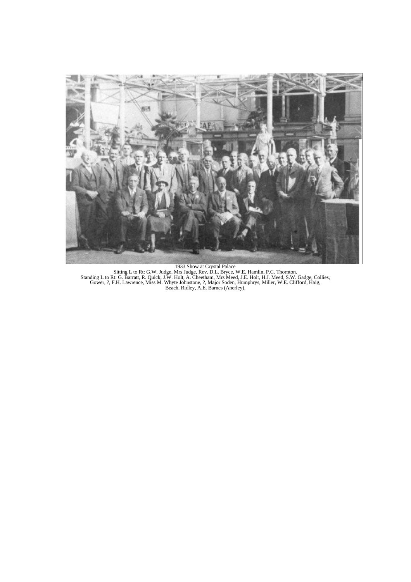

1933 Show at Crystal Palace<br>Standing L to Rt: G.W. Judge, Mrs Judge, Rev. D.L. Bryce, W.E. Hamlin, P.C. Thornton.<br>Standing L to Rt: G. Barratt, R. Quick, J.W. Holt, A. Cheetham, Mrs Meed, J.E. Holt, H.J. Meed, S.W. Gadge,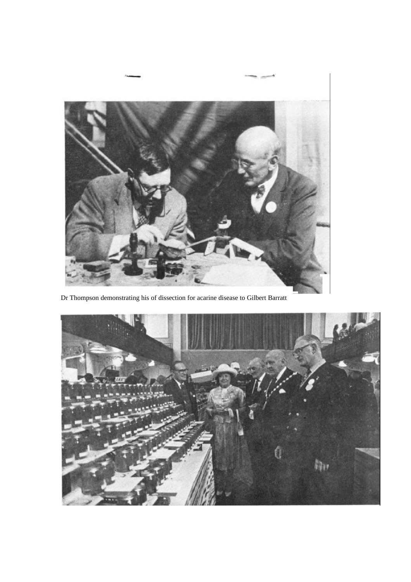

Dr Thompson demonstrating his of dissection for acarine disease to Gilbert Barratt

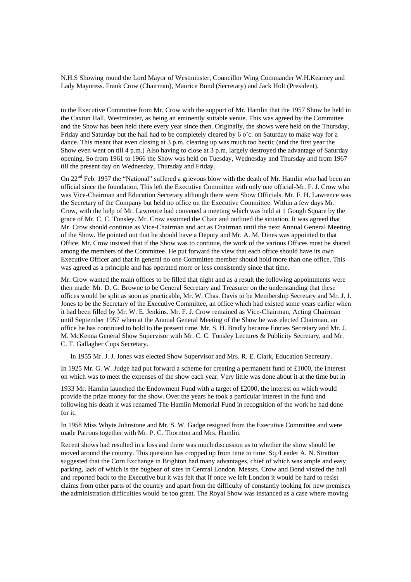N.H.S Showing round the Lord Mayor of Westminster, Councillor Wing Commander W.H.Kearney and Lady Mayoress. Frank Crow (Chairman), Maurice Bond (Secretary) and Jack Holt (President).

to the Executive Committee from Mr. Crow with the support of Mr. Hamlin that the 1957 Show be held in the Caxton Hall, Westminster, as being an eminently suitable venue. This was agreed by the Committee and the Show has been held there every year since then. Originally, the shows were held on the Thursday, Friday and Saturday but the hall had to be completely cleared by 6 o'c. on Saturday to make way for a dance. This meant that even closing at 3 p.m. clearing up was much too hectic (and the first year the Show even went on till 4 p.m.) Also having to close at 3 p.m. largely destroyed the advantage of Saturday opening. So from 1961 to 1966 the Show was held on Tuesday, Wednesday and Thursday and from 1967 till the present day on Wednesday, Thursday and Friday.

On 22nd Feb. 1957 the "National" suffered a grievous blow with the death of Mr. Hamlin who had been an official since the foundation. This left the Executive Committee with only one official-Mr. F. J. Crow who was Vice-Chairman and Education Secretary although there were Show Officials. Mr. F. H. Lawrence was the Secretary of the Company but held no office on the Executive Committee. Within a few days Mr. Crow, with the help of Mr. Lawrence had convened a meeting which was held at 1 Gough Square by the grace of Mr. C. C. Tonsley. Mr. Crow assumed the Chair and outlined the situation. It was agreed that Mr. Crow should continue as Vice-Chairman and act as Chairman until the next Annual General Meeting of the Show. He pointed out that he should have a Deputy and Mr. A. M. Dines was appointed to that Office. Mr. Crow insisted that if the Show was to continue, the work of the various Offices must be shared among the members of the Committee. He put forward the view that each office should have its own Executive Officer and that in general no one Committee member should hold more than one office. This was agreed as a principle and has operated more or less consistently since that time.

Mr. Crow wanted the main offices to be filled that night and as a result the following appointments were then made: Mr. D. G. Browne to be General Secretary and Treasurer on the understanding that these offices would be split as soon as practicable, Mr. W. Chas. Davis to be Membership Secretary and Mr. J. J. Jones to be the Secretary of the Executive Committee, an office which had existed some years earlier when it had been filled by Mr. W. E. Jenkins. Mr. F. J. Crow remained as Vice-Chairman, Acting Chairman until September 1957 when at the Annual General Meeting of the Show he was elected Chairman, an office he has continued to hold to the present time. Mr. S. H. Bradly became Entries Secretary and Mr. J. M. McKenna General Show Supervisor with Mr. C. C. Tonsley Lectures & Publicity Secretary, and Mr. C. T. Gallagher Cups Secretary.

In 1955 Mr. J. J. Jones was elected Show Supervisor and Mrs. R. E. Clark, Education Secretary.

In 1925 Mr. G. W. Judge had put forward a scheme for creating a permanent fund of £1000, the interest on which was to meet the expenses of the show each year. Very little was done about it at the time but in

1933 Mr. Hamlin launched the Endowment Fund with a target of £2000, the interest on which would provide the prize money for the show. Over the years he took a particular interest in the fund and following his death it was renamed The Hamlin Memorial Fund in recognition of the work he had done for it.

In 1958 Miss Whyte Johnstone and Mr. S. W. Gadge resigned from the Executive Committee and were made Patrons together with Mr. P. C. Thornton and Mrs. Hamlin.

Recent shows had resulted in a loss and there was much discussion as to whether the show should be moved around the country. This question has cropped up from time to time. Sq./Leader A. N. Stratton suggested that the Corn Exchange in Brighton had many advantages, chief of which was ample and easy parking, lack of which is the bugbear of sites in Central London. Messrs. Crow and Bond visited the hall and reported back to the Executive but it was felt that if once we left London it would be hard to resist claims from other parts of the country and apart from the difficulty of constantly looking for new premises the administration difficulties would be too great. The Royal Show was instanced as a case where moving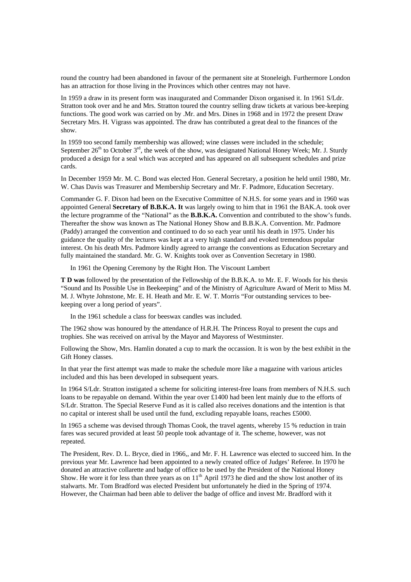round the country had been abandoned in favour of the permanent site at Stoneleigh. Furthermore London has an attraction for those living in the Provinces which other centres may not have.

In 1959 a draw in its present form was inaugurated and Commander Dixon organised it. In 1961 S/Ldr. Stratton took over and he and Mrs. Stratton toured the country selling draw tickets at various bee-keeping functions. The good work was carried on by .Mr. and Mrs. Dines in 1968 and in 1972 the present Draw Secretary Mrs. H. Vigrass was appointed. The draw has contributed a great deal to the finances of the show.

In 1959 too second family membership was allowed; wine classes were included in the schedule; September 26<sup>th</sup> to October 3<sup>rd</sup>, the week of the show, was designated National Honey Week; Mr. J. Sturdy produced a design for a seal which was accepted and has appeared on all subsequent schedules and prize cards.

In December 1959 Mr. M. C. Bond was elected Hon. General Secretary, a position he held until 1980, Mr. W. Chas Davis was Treasurer and Membership Secretary and Mr. F. Padmore, Education Secretary.

Commander G. F. Dixon had been on the Executive Committee of N.H.S. for some years and in 1960 was appointed General **Secretary of B.B.K.A. It** was largely owing to him that in 1961 the BAK.A. took over the lecture programme of the "National" as the **B.B.K.A.** Convention and contributed to the show's funds. Thereafter the show was known as The National Honey Show and B.B.K.A. Convention. Mr. Padmore (Paddy) arranged the convention and continued to do so each year until his death in 1975. Under his guidance the quality of the lectures was kept at a very high standard and evoked tremendous popular interest. On his death Mrs. Padmore kindly agreed to arrange the conventions as Education Secretary and fully maintained the standard. Mr. G. W. Knights took over as Convention Secretary in 1980.

In 1961 the Opening Ceremony by the Right Hon. The Viscount Lambert

**T D was** followed by the presentation of the Fellowship of the B.B.K.A. to Mr. E. F. Woods for his thesis "Sound and Its Possible Use in Beekeeping" and of the Ministry of Agriculture Award of Merit to Miss M. M. J. Whyte Johnstone, Mr. E. H. Heath and Mr. E. W. T. Morris "For outstanding services to beekeeping over a long period of years".

In the 1961 schedule a class for beeswax candles was included.

The 1962 show was honoured by the attendance of H.R.H. The Princess Royal to present the cups and trophies. She was received on arrival by the Mayor and Mayoress of Westminster.

Following the Show, Mrs. Hamlin donated a cup to mark the occassion. It is won by the best exhibit in the Gift Honey classes.

In that year the first attempt was made to make the schedule more like a magazine with various articles included and this has been developed in subsequent years.

In 1964 S/Ldr. Stratton instigated a scheme for soliciting interest-free loans from members of N.H.S. such loans to be repayable on demand. Within the year over £1400 had been lent mainly due to the efforts of S/Ldr. Stratton. The Special Reserve Fund as it is called also receives donations and the intention is that no capital or interest shall be used until the fund, excluding repayable loans, reaches £5000.

In 1965 a scheme was devised through Thomas Cook, the travel agents, whereby 15 % reduction in train fares was secured provided at least 50 people took advantage of it. The scheme, however, was not repeated.

The President, Rev. D. L. Bryce, died in 1966,, and Mr. F. H. Lawrence was elected to succeed him. In the previous year Mr. Lawrence had been appointed to a newly created office of Judges' Referee. In 1970 he donated an attractive collarette and badge of office to be used by the President of the National Honey Show. He wore it for less than three years as on  $11<sup>th</sup>$  April 1973 he died and the show lost another of its stalwarts. Mr. Tom Bradford was elected President but unfortunately he died in the Spring of 1974. However, the Chairman had been able to deliver the badge of office and invest Mr. Bradford with it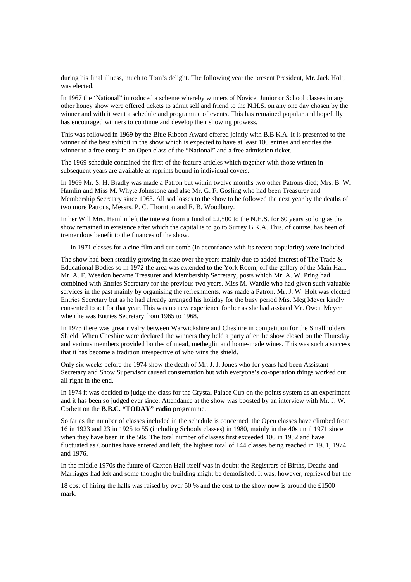during his final illness, much to Tom's delight. The following year the present President, Mr. Jack Holt, was elected.

In 1967 the 'National" introduced a scheme whereby winners of Novice, Junior or School classes in any other honey show were offered tickets to admit self and friend to the N.H.S. on any one day chosen by the winner and with it went a schedule and programme of events. This has remained popular and hopefully has encouraged winners to continue and develop their showing prowess.

This was followed in 1969 by the Blue Ribbon Award offered jointly with B.B.K.A. It is presented to the winner of the best exhibit in the show which is expected to have at least 100 entries and entitles the winner to a free entry in an Open class of the "National" and a free admission ticket.

The 1969 schedule contained the first of the feature articles which together with those written in subsequent years are available as reprints bound in individual covers.

In 1969 Mr. S. H. Bradly was made a Patron but within twelve months two other Patrons died; Mrs. B. W. Hamlin and Miss M. Whyte Johnstone and also Mr. G. F. Gosling who had been Treasurer and Membership Secretary since 1963. All sad losses to the show to be followed the next year by the deaths of two more Patrons, Messrs. P. C. Thornton and E. B. Woodbury.

In her Will Mrs. Hamlin left the interest from a fund of £2,500 to the N.H.S. for 60 years so long as the show remained in existence after which the capital is to go to Surrey B.K.A. This, of course, has been of tremendous benefit to the finances of the show.

In 1971 classes for a cine film and cut comb (in accordance with its recent popularity) were included.

The show had been steadily growing in size over the years mainly due to added interest of The Trade & Educational Bodies so in 1972 the area was extended to the York Room, off the gallery of the Main Hall. Mr. A. F. Weedon became Treasurer and Membership Secretary, posts which Mr. A. W. Pring had combined with Entries Secretary for the previous two years. Miss M. Wardle who had given such valuable services in the past mainly by organising the refreshments, was made a Patron. Mr. J. W. Holt was elected Entries Secretary but as he had already arranged his holiday for the busy period Mrs. Meg Meyer kindly consented to act for that year. This was no new experience for her as she had assisted Mr. Owen Meyer when he was Entries Secretary from 1965 to 1968.

In 1973 there was great rivalry between Warwickshire and Cheshire in competition for the Smallholders Shield. When Cheshire were declared the winners they held a party after the show closed on the Thursday and various members provided bottles of mead, metheglin and home-made wines. This was such a success that it has become a tradition irrespective of who wins the shield.

Only six weeks before the 1974 show the death of Mr. J. J. Jones who for years had been Assistant Secretary and Show Supervisor caused consternation but with everyone's co-operation things worked out all right in the end.

In 1974 it was decided to judge the class for the Crystal Palace Cup on the points system as an experiment and it has been so judged ever since. Attendance at the show was boosted by an interview with Mr. J. W. Corbett on the **B.B.C. "TODAY" radio** programme.

So far as the number of classes included in the schedule is concerned, the Open classes have climbed from 16 in 1923 and 23 in 1925 to 55 (including Schools classes) in 1980, mainly in the 40s until 1971 since when they have been in the 50s. The total number of classes first exceeded 100 in 1932 and have fluctuated as Counties have entered and left, the highest total of 144 classes being reached in 1951, 1974 and 1976.

In the middle 1970s the future of Caxton Hall itself was in doubt: the Registrars of Births, Deaths and Marriages had left and some thought the building might be demolished. It was, however, reprieved but the

18 cost of hiring the halls was raised by over 50 % and the cost to the show now is around the £1500 mark.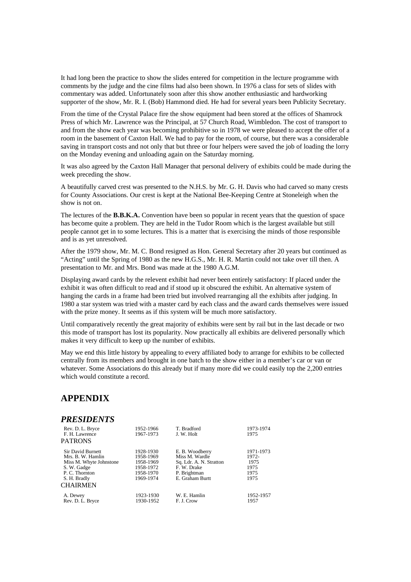It had long been the practice to show the slides entered for competition in the lecture programme with comments by the judge and the cine films had also been shown. In 1976 a class for sets of slides with commentary was added. Unfortunately soon after this show another enthusiastic and hardworking supporter of the show, Mr. R. I. (Bob) Hammond died. He had for several years been Publicity Secretary.

From the time of the Crystal Palace fire the show equipment had been stored at the offices of Shamrock Press of which Mr. Lawrence was the Principal, at 57 Church Road, Wimbledon. The cost of transport to and from the show each year was becoming prohibitive so in 1978 we were pleased to accept the offer of a room in the basement of Caxton Hall. We had to pay for the room, of course, but there was a considerable saving in transport costs and not only that but three or four helpers were saved the job of loading the lorry on the Monday evening and unloading again on the Saturday morning.

It was also agreed by the Caxton Hall Manager that personal delivery of exhibits could be made during the week preceding the show.

A beautifully carved crest was presented to the N.H.S. by Mr. G. H. Davis who had carved so many crests for County Associations. Our crest is kept at the National Bee-Keeping Centre at Stoneleigh when the show is not on.

The lectures of the **B.B.K.A.** Convention have been so popular in recent years that the question of space has become quite a problem. They are held in the Tudor Room which is the largest available but still people cannot get in to some lectures. This is a matter that is exercising the minds of those responsible and is as yet unresolved.

After the 1979 show, Mr. M. C. Bond resigned as Hon. General Secretary after 20 years but continued as "Acting" until the Spring of 1980 as the new H.G.S., Mr. H. R. Martin could not take over till then. A presentation to Mr. and Mrs. Bond was made at the 1980 A.G.M.

Displaying award cards by the relevent exhibit had never been entirely satisfactory: If placed under the exhibit it was often difficult to read and if stood up it obscured the exhibit. An alternative system of hanging the cards in a frame had been tried but involved rearranging all the exhibits after judging. In 1980 a star system was tried with a master card by each class and the award cards themselves were issued with the prize money. It seems as if this system will be much more satisfactory.

Until comparatively recently the great majority of exhibits were sent by rail but in the last decade or two this mode of transport has lost its popularity. Now practically all exhibits are delivered personally which makes it very difficult to keep up the number of exhibits.

May we end this little history by appealing to every affiliated body to arrange for exhibits to be collected centrally from its members and brought in one batch to the show either in a member's car or van or whatever. Some Associations do this already but if many more did we could easily top the 2,200 entries which would constitute a record.

## **APPENDIX**

#### *PRESIDENTS*

| Rev. D. L. Bryce<br>F. H. Lawrence | 1952-1966<br>1967-1973 | T. Bradford<br>J. W. Holt | 1973-1974<br>1975 |
|------------------------------------|------------------------|---------------------------|-------------------|
| PATRONS                            |                        |                           |                   |
| <b>Sir David Burnett</b>           | 1928-1930              | E. B. Woodberry           | 1971-1973         |
| Mrs. B. W. Hamlin                  | 1958-1969              | Miss M. Wardle            | 1972-             |
| Miss M. Whyte Johnstone            | 1958-1969              | Sq. Ldr. A. N. Stratton   | 1975              |
| S. W. Gadge                        | 1958-1972              | F. W. Drake               | 1975              |
| P. C. Thornton                     | 1958-1970              | P. Brightman              | 1975              |
| S. H. Bradly                       | 1969-1974              | E. Graham Burtt           | 1975              |
| CHAIRMEN                           |                        |                           |                   |
| A. Dewey                           | 1923-1930              | W. E. Hamlin              | 1952-1957         |
| Rev. D. L. Bryce                   | 1930-1952              | F. J. Crow                | 1957              |
|                                    |                        |                           |                   |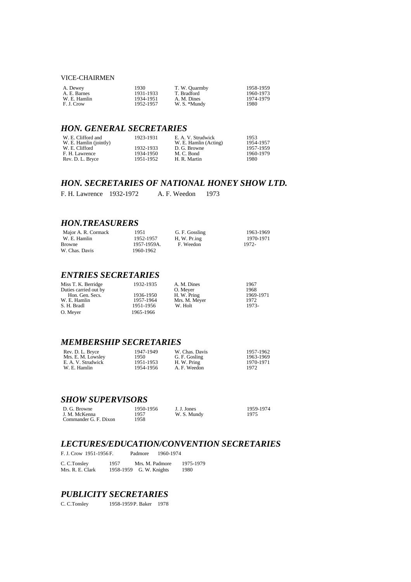#### VICE-CHAIRMEN

| A. Dewey     | 1930.     | T. W. Quarmby | 1958-1959 |
|--------------|-----------|---------------|-----------|
| A. E. Barnes | 1931-1933 | T. Bradford   | 1960-1973 |
| W. E. Hamlin | 1934-1951 | A. M. Dines   | 1974-1979 |
| F. J. Crow   | 1952-1957 | W. S. *Mundy  | 1980.     |

### *HON. GENERAL SECRETARIES*

| W. E. Clifford and     | 1923-1931 | E. A. V. Strudwick    | 1953      |
|------------------------|-----------|-----------------------|-----------|
| W. E. Hamlin (jointly) |           | W. E. Hamlin (Acting) | 1954-1957 |
| W. E. Clifford         | 1932-1933 | D. G. Browne          | 1957-1959 |
| F. H. Lawrence         | 1934-1950 | M. C. Bond            | 1960-1979 |
| Rev. D. L. Bryce       | 1951-1952 | H. R. Martin          | 1980.     |

#### *HON. SECRETARIES OF NATIONAL HONEY SHOW LTD.*

F. H. Lawrence 1932-1972 A. F. Weedon 1973

## *HON.TREASURERS*

| Major A. R. Cormack | 1951        | G. F. Gossling | 1963-1969 |
|---------------------|-------------|----------------|-----------|
| W. E. Hamlin        | 1952-1957   | H, W. Pring    | 1970-1971 |
| Browne              | 1957-1959A. | F. Weedon      | 1972-     |
| W. Chas. Davis      | 1960-1962   |                |           |

### *ENTRIES SECRETARIES*

| Miss T. K. Berridge   | 1932-1935 | A. M. Dines   | 1967      |
|-----------------------|-----------|---------------|-----------|
| Duties carried out by |           | O. Meyer      | 1968      |
| Hon. Gen. Secs.       | 1936-1950 | H. W. Pring   | 1969-1971 |
| W. E. Hamlin          | 1957-1964 | Mrs. M. Meyer | 1972      |
| S. H. Bradl           | 1951-1956 | W. Holt       | 1973-     |
| O. Meyer              | 1965-1966 |               |           |

#### *MEMBERSHIP SECRETARIES*

| Rev. D. L. Bryce   | 1947-1949 | W. Chas. Davis | 1957-1962 |
|--------------------|-----------|----------------|-----------|
| Mrs. E. M. Lowsley | 1950      | G. F. Gosling  | 1963-1969 |
| E. A. V. Strudwick | 1951-1953 | H. W. Pring    | 1970-1971 |
| W. E. Hamlin       | 1954-1956 | A. F. Weedon   | 1972.     |

#### *SHOW SUPERVISORS*

| D. G. Browne          | 1950-1956 | J. J. Jones | 1959-1974 |
|-----------------------|-----------|-------------|-----------|
| J. M. McKenna         | 1957      | W. S. Mundy | 1975      |
| Commander G. F. Dixon | 1958      |             |           |

### *LECTURES/EDUCATION/CONVENTION SECRETARIES*

| F. J. Crow 1951-1956 F. |                         | Padmore | 1960-1974       |           |
|-------------------------|-------------------------|---------|-----------------|-----------|
| C. C. Tonsley           | 1957                    |         | Mrs. M. Padmore | 1975-1979 |
| Mrs. R. E. Clark        | 1958-1959 G. W. Knights |         |                 | 1980      |

### *PUBLICITY SECRETARIES*

| 1958-1959 P. Baker 1978<br>C. C. Tonsley |
|------------------------------------------|
|------------------------------------------|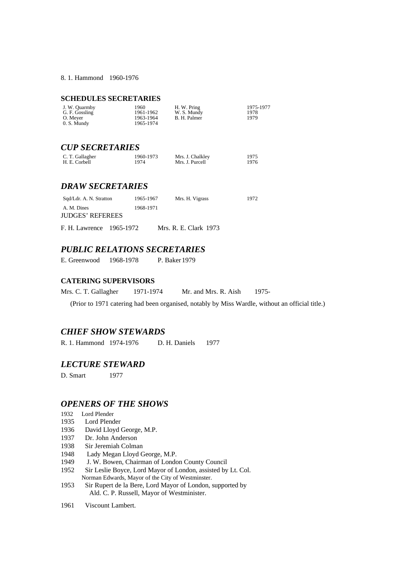#### 8. 1. Hammond 1960-1976

#### **SCHEDULES SECRETARIES**

| J. W. Quarmby<br>G. F. Gossling | 1960<br>1961-1962 | H. W. Pring<br>W. S. Mundy | 1975-1977<br>1978 |
|---------------------------------|-------------------|----------------------------|-------------------|
| O. Meyer                        | 1963-1964         | B. H. Palmer               | 1979              |
| 0. S. Mundy                     | 1965-1974         |                            |                   |

#### *CUP SECRETARIES*

| C. T. Gallagher | 1960-1973 | Mrs. J. Chalkley | 1975 |
|-----------------|-----------|------------------|------|
| H. E. Corbell   | 1974      | Mrs. J. Purcell  | 1976 |

### *DRAW SECRETARIES*

| Sqd/Ldr. A. N. Stratton | 1965-1967 | Mrs. H. Vigrass | 1972 |
|-------------------------|-----------|-----------------|------|
| A. M. Dines             | 1968-1971 |                 |      |
| <b>JUDGES' REFEREES</b> |           |                 |      |
|                         |           |                 |      |

F. H. Lawrence 1965-1972 Mrs. R. E. Clark 1973

### *PUBLIC RELATIONS SECRETARIES*

E. Greenwood 1968-1978 P. Baker1979

#### **CATERING SUPERVISORS**

Mrs. C. T. Gallagher 1971-1974 Mr. and Mrs. R. Aish 1975-

(Prior to 1971 catering had been organised, notably by Miss Wardle, without an official title.)

## *CHIEF SHOW STEWARDS*

R. 1. Hammond 1974-1976 D. H. Daniels 1977

#### *LECTURE STEWARD*

D. Smart 1977

### *OPENERS OF THE SHOWS*

- 1932 Lord Plender
- 1935 Lord Plender
- 1936 David Lloyd George, M.P.
- 1937 Dr. John Anderson
- 1938 Sir Jeremiah Colman
- 1948 Lady Megan Lloyd George, M.P.
- 1949 J. W. Bowen, Chairman of London County Council
- 1952 Sir Leslie Boyce, Lord Mayor of London, assisted by Lt. Col. Norman Edwards, Mayor of the City of Westminster.
- 1953 Sir Rupert de la Bere, Lord Mayor of London, supported by Ald. C. P. Russell, Mayor of Westminister.
- 1961 Viscount Lambert.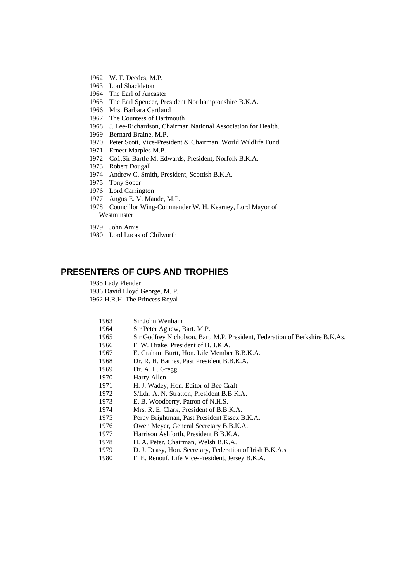- W. F. Deedes, M.P.
- Lord Shackleton
- The Earl of Ancaster
- The Earl Spencer, President Northamptonshire B.K.A.
- Mrs. Barbara Cartland
- The Countess of Dartmouth
- J. Lee-Richardson, Chairman National Association for Health.
- Bernard Braine, M.P.
- Peter Scott, Vice-President & Chairman, World Wildlife Fund.
- Ernest Marples M.P.
- Co1.Sir Bartle M. Edwards, President, Norfolk B.K.A.
- Robert Dougall
- Andrew C. Smith, President, Scottish B.K.A.
- Tony Soper
- Lord Carrington
- Angus E. V. Maude, M.P.
- Councillor Wing-Commander W. H. Kearney, Lord Mayor of Westminster
- John Amis
- Lord Lucas of Chilworth

## **PRESENTERS OF CUPS AND TROPHIES**

1935 Lady Plender 1936 David Lloyd George, M. P. 1962 H.R.H. The Princess Royal

| 1963 | Sir John Wenham                                                              |
|------|------------------------------------------------------------------------------|
| 1964 | Sir Peter Agnew, Bart. M.P.                                                  |
| 1965 | Sir Godfrey Nicholson, Bart. M.P. President, Federation of Berkshire B.K.As. |
| 1966 | F. W. Drake, President of B.B.K.A.                                           |
| 1967 | E. Graham Burtt, Hon. Life Member B.B.K.A.                                   |
| 1968 | Dr. R. H. Barnes, Past President B.B.K.A.                                    |
| 1969 | Dr. A. L. Gregg                                                              |
| 1970 | Harry Allen                                                                  |
| 1971 | H. J. Wadey, Hon. Editor of Bee Craft.                                       |
| 1972 | S/Ldr. A. N. Stratton, President B.B.K.A.                                    |
| 1973 | E. B. Woodberry, Patron of N.H.S.                                            |
| 1974 | Mrs. R. E. Clark, President of B.B.K.A.                                      |
| 1975 | Percy Brightman, Past President Essex B.K.A.                                 |
| 1976 | Owen Meyer, General Secretary B.B.K.A.                                       |
| 1977 | Harrison Ashforth, President B.B.K.A.                                        |
| 1978 | H. A. Peter, Chairman, Welsh B.K.A.                                          |
| 1979 | D. J. Deasy, Hon. Secretary, Federation of Irish B.K.A.s                     |
| 1980 | F. E. Renouf, Life Vice-President, Jersey B.K.A.                             |